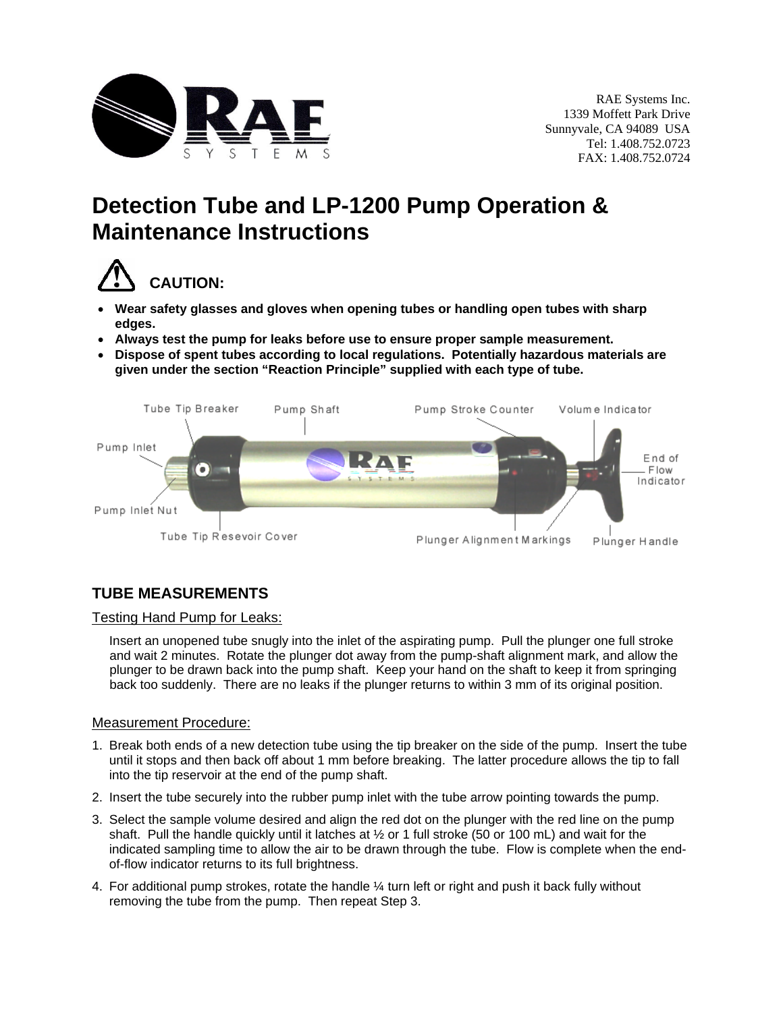

# **Detection Tube and LP-1200 Pump Operation & Maintenance Instructions**



- **Wear safety glasses and gloves when opening tubes or handling open tubes with sharp edges.**
- **Always test the pump for leaks before use to ensure proper sample measurement.**
- **Dispose of spent tubes according to local regulations. Potentially hazardous materials are given under the section "Reaction Principle" supplied with each type of tube.**



# **TUBE MEASUREMENTS**

## Testing Hand Pump for Leaks:

Insert an unopened tube snugly into the inlet of the aspirating pump. Pull the plunger one full stroke and wait 2 minutes. Rotate the plunger dot away from the pump-shaft alignment mark, and allow the plunger to be drawn back into the pump shaft. Keep your hand on the shaft to keep it from springing back too suddenly. There are no leaks if the plunger returns to within 3 mm of its original position.

#### Measurement Procedure:

- 1. Break both ends of a new detection tube using the tip breaker on the side of the pump. Insert the tube until it stops and then back off about 1 mm before breaking. The latter procedure allows the tip to fall into the tip reservoir at the end of the pump shaft.
- 2. Insert the tube securely into the rubber pump inlet with the tube arrow pointing towards the pump.
- 3. Select the sample volume desired and align the red dot on the plunger with the red line on the pump shaft. Pull the handle quickly until it latches at ½ or 1 full stroke (50 or 100 mL) and wait for the indicated sampling time to allow the air to be drawn through the tube. Flow is complete when the endof-flow indicator returns to its full brightness.
- 4. For additional pump strokes, rotate the handle  $\frac{1}{4}$  turn left or right and push it back fully without removing the tube from the pump. Then repeat Step 3.